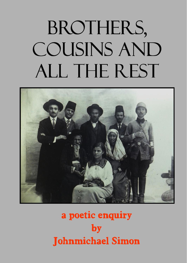# BROTHERS, COUSINS AND ALL THE REST



# **a poetic enquiry by Johnmichael Simon**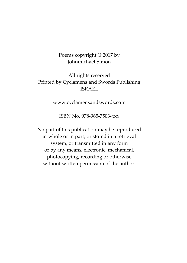#### Poems copyright © 2017 by Johnmichael Simon

# All rights reserved Printed by Cyclamens and Swords Publishing ISRAEL

www.cyclamensandswords.com

ISBN No. 978-965-7503-xxx

No part of this publication may be reproduced in whole or in part, or stored in a retrieval system, or transmitted in any form or by any means, electronic, mechanical, photocopying, recording or otherwise without written permission of the author.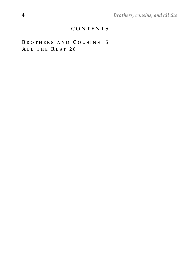**4** *Brothers, cousins, and all the* 

### **C O N T E N T S**

# **B R O T H E R S A N D C O U S I N S 5 A L L T H E R E S T 2 6**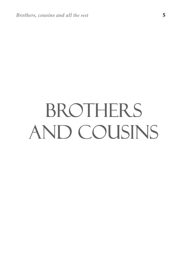# BROTHERS AND COUSINS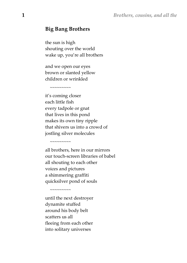#### **Big Bang Brothers**

the sun is high shouting over the world wake up, you're all brothers

and we open our eyes brown or slanted yellow children or wrinkled

 $\sim$ ~~~~~~~

 $\sim$ ~~~~~~~

 $\sim\sim\sim\sim\sim\sim\sim\sim$ 

it's coming closer each little fish every tadpole or gnat that lives in this pond makes its own tiny ripple that shivers us into a crowd of jostling silver molecules

all brothers, here in our mirrors our touch-screen libraries of babel all shouting to each other voices and pictures a shimmering graffiti quicksilver pond of souls

until the next destroyer dynamite stuffed around his body belt scatters us all fleeing from each other into solitary universes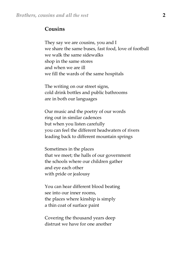#### **Cousins**

They say we are cousins, you and I we share the same buses, fast food, love of football we walk the same sidewalks shop in the same stores and when we are ill we fill the wards of the same hospitals

The writing on our street signs, cold drink bottles and public bathrooms are in both our languages

Our music and the poetry of our words ring out in similar cadences but when you listen carefully you can feel the different headwaters of rivers leading back to different mountain springs

Sometimes in the places that we meet; the halls of our government the schools where our children gather and eye each other with pride or jealousy

You can hear different blood beating see into our inner rooms, the places where kinship is simply a thin coat of surface paint

Covering the thousand years deep distrust we have for one another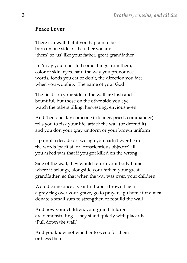# **Peace Lover**

There is a wall that if you happen to be born on one side or the other you are 'them' or 'us' like your father, great grandfather

Let's say you inherited some things from them, color of skin, eyes, hair, the way you pronounce words, foods you eat or don't, the direction you face when you worship. The name of your God

The fields on your side of the wall are lush and bountiful, but those on the other side you eye, watch the others tilling, harvesting, envious even

And then one day someone (a leader, priest, commander) tells you to risk your life, attack the wall (or defend it) and you don your gray uniform or your brown uniform

Up until a decade or two ago you hadn't ever heard the words 'pacifist' or 'conscientious objector' all you asked was that if you got killed on the wrong

Side of the wall, they would return your body home where it belongs, alongside your father, your great grandfather, so that when the war was over, your children

Would come once a year to drape a brown flag or a gray flag over your grave, go to prayers, go home for a meal, donate a small sum to strengthen or rebuild the wall

And now your children, your grandchildren are demonstrating. They stand quietly with placards 'Pull down the wall'

And you know not whether to weep for them or bless them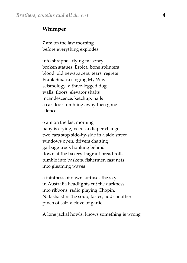#### **Whimper**

7 am on the last morning before everything explodes

into shrapnel, flying masonry broken statues, Eroica, bone splinters blood, old newspapers, tears, regrets Frank Sinatra singing My Way seismology, a three-legged dog walls, floors, elevator shafts incandescence, ketchup, nails a car door tumbling away then gone silence

6 am on the last morning baby is crying, needs a diaper change two cars stop side-by-side in a side street windows open, drivers chatting garbage truck honking behind down at the bakery fragrant bread rolls tumble into baskets, fishermen cast nets into gleaming waves

a faintness of dawn suffuses the sky in Australia headlights cut the darkness into ribbons, radio playing Chopin. Natasha stirs the soup, tastes, adds another pinch of salt, a clove of garlic

A lone jackal howls, knows something is wrong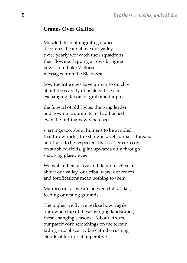# **Cranes Over Galilee**

Muscled flesh of migrating cranes decorates the air above our valley twice yearly we watch their squadrons their flowing flapping arrows bringing news from Lake Victoria messages from the Black Sea

how the little ones have grown so quickly about the scarcity of fishlets this year exchanging flavors of grub and tadpole

the funeral of old Kylos, the wing leader and how our autumn tears had hushed even the fretting newly hatched

warnings too, about humans to be avoided, that throw rocks, fire shotguns, yell barbaric threats; and those to be respected, that scatter corn cobs on stubbled fields, glint upwards only through snapping glassy eyes

We watch them arrive and depart each year above our valley, our tribal wars, our fences and fortifications mean nothing to them

Mapped out as we are between hills, lakes, feeding or resting grounds

The higher we fly we realize how fragile our ownership of these merging landscapes, these changing seasons. All our efforts, our patchwork scratchings on the terrain fading into obscurity beneath the rushing clouds of territorial imperative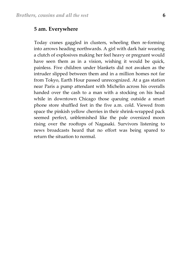#### **5 am. Everywhere**

Today cranes gaggled in clusters, wheeling then re-forming into arrows heading northwards. A girl with dark hair wearing a clutch of explosives making her feel heavy or pregnant would have seen them as in a vision, wishing it would be quick, painless. Five children under blankets did not awaken as the intruder slipped between them and in a million homes not far from Tokyo, Earth Hour passed unrecognized. At a gas station near Paris a pump attendant with Michelin across his overalls handed over the cash to a man with a stocking on his head while in downtown Chicago those queuing outside a smart phone store shuffled feet in the five a.m. cold. Viewed from space the pinkish yellow cherries in their shrink-wrapped pack seemed perfect, unblemished like the pale oversized moon rising over the rooftops of Nagasaki. Survivors listening to news broadcasts heard that no effort was being spared to return the situation to normal.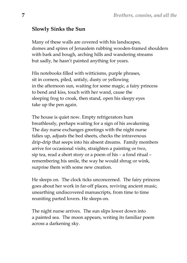# **Slowly Sinks the Sun**

Many of these walls are covered with his landscapes, domes and spires of Jerusalem rubbing wooden-framed shoulders with bark and bough, arching hills and wandering streams but sadly, he hasn't painted anything for years.

His notebooks filled with witticisms, purple phrases, sit in corners, piled, untidy, dusty or yellowing in the afternoon sun, waiting for some magic, a fairy princess to bend and kiss, touch with her wand, cause the sleeping frog to croak, then stand, open his sleepy eyes take up the pen again.

The house is quiet now. Empty refrigerators hum breathlessly, perhaps waiting for a sign of his awakening. The day nurse exchanges greetings with the night nurse tidies up, adjusts the bed sheets, checks the intravenous drip-drip that seeps into his absent dreams. Family members arrive for occasional visits, straighten a painting or two, sip tea, read a short story or a poem of his – a fond ritual – remembering his smile, the way he would shrug or wink, surprise them with some new creation.

He sleeps on. The clock ticks unconcerned. The fairy princess goes about her work in far-off places, reviving ancient music, unearthing undiscovered manuscripts, from time to time reuniting parted lovers. He sleeps on.

The night nurse arrives. The sun slips lower down into a painted sea. The moon appears, writing its familiar poem across a darkening sky.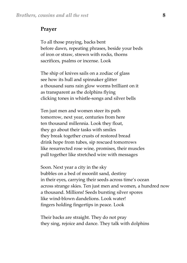#### **Prayer**

To all those praying, backs bent before dawn, repeating phrases, beside your beds of iron or straw, strewn with rocks, thorns sacrifices, psalms or incense. Look

The ship of knives sails on a zodiac of glass see how its hull and spinnaker glitter a thousand suns rain glow worms brilliant on it as transparent as the dolphins flying clicking tones in whistle-songs and silver bells

Ten just men and women steer its path tomorrow, next year, centuries from here ten thousand millennia. Look they float, they go about their tasks with smiles they break together crusts of restored bread drink hope from tubes, sip rescued tomorrows like resurrected rose wine, promises, their muscles pull together like stretched wire with messages

Soon. Next year a city in the sky bubbles on a bed of moonlit sand, destiny in their eyes, carrying their seeds across time's ocean across strange skies. Ten just men and women, a hundred now a thousand. Millions! Seeds bursting silver spores like wind-blown dandelions. Look water! fingers holding fingertips in peace. Look

Their backs are straight. They do not pray they sing, rejoice and dance. They talk with dolphins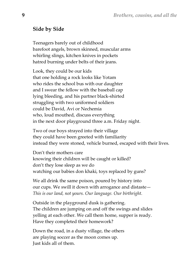# **Side by Side**

Teenagers barely out of childhood barefoot angels, brown skinned, muscular arms whirling slings, kitchen knives in pockets hatred burning under belts of their jeans.

Look, they could be our kids that one holding a rock looks like Yotam who rides the school bus with our daughter and I swear the fellow with the baseball cap lying bleeding, and his partner black-shirted struggling with two uniformed soldiers could be David, Avi or Nechemia who, loud mouthed, discuss everything in the next door playground three a.m. Friday night.

Two of our boys strayed into their village they could have been greeted with familiarity instead they were stoned, vehicle burned, escaped with their lives.

Don't their mothers care knowing their children will be caught or killed? don't they lose sleep as we do watching our babies don khaki, toys replaced by guns?

We all drink the same poison, poured by history into our cups. We swill it down with arrogance and distaste— *This is our land, not yours. Our language. Our birthright.* 

Outside in the playground dusk is gathering. The children are jumping on and off the swings and slides yelling at each other. We call them home, supper is ready. Have they completed their homework?

Down the road, in a dusty village, the others are playing soccer as the moon comes up. Just kids all of them.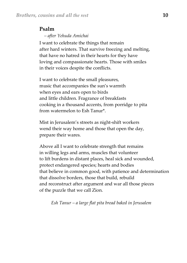### **Psalm**

 *– after Yehuda Amichai* 

I want to celebrate the things that remain after hard winters. That survive freezing and melting, that have no hatred in their hearts for they have loving and compassionate hearts. Those with smiles in their voices despite the conflicts.

I want to celebrate the small pleasures, music that accompanies the sun's warmth when eyes and ears open to birds and little children. Fragrance of breakfasts cooking in a thousand accents, from porridge to pita from watermelon to Esh Tanur\*.

Mist in Jerusalem's streets as night-shift workers wend their way home and those that open the day, prepare their wares.

Above all I want to celebrate strength that remains in willing legs and arms, muscles that volunteer to lift burdens in distant places, heal sick and wounded, protect endangered species; hearts and bodies that believe in common good, with patience and determination that dissolve borders, those that build, rebuild and reconstruct after argument and war all those pieces of the puzzle that we call Zion.

*Esh Tanur – a large flat pita bread baked in Jerusalem*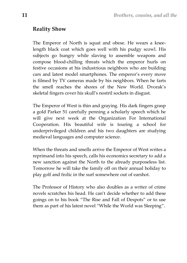#### **Reality Show**

The Emperor of North is squat and obese. He wears a kneelength black coat which goes well with his pudgy scowl. His subjects go hungry while slaving to assemble weapons and compose blood-chilling threats which the emperor hurls on festive occasions at his industrious neighbors who are building cars and latest model smartphones. The emperor's every move is filmed by TV cameras made by his neighbors. When he farts the smell reaches the shores of the New World. Dvorak's skeletal fingers cover his skull's nostril sockets in disgust.

The Emperor of West is thin and graying. His dark fingers grasp a gold Parker 51 carefully penning a scholarly speech which he will give next week at the Organization For International Cooperation. His beautiful wife is touring a school for underprivileged children and his two daughters are studying medieval languages and computer science.

When the threats and smells arrive the Emperor of West writes a reprimand into his speech, calls his economics secretary to add a new sanction against the North to the already purposeless list. Tomorrow he will take the family off on their annual holiday to play golf and frolic in the surf somewhere out of earshot.

The Professor of History who also doubles as a writer of crime novels scratches his head. He can't decide whether to add these goings on to his book "The Rise and Fall of Despots" or to use them as part of his latest novel "While the World was Sleeping".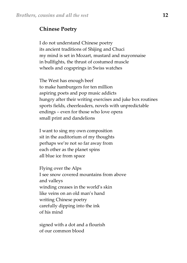#### **Chinese Poetry**

I do not understand Chinese poetry its ancient traditions of Shijing and Chuci my mind is set in Mozart, mustard and mayonnaise in bullfights, the thrust of costumed muscle wheels and cogsprings in Swiss watches

The West has enough beef to make hamburgers for ten million aspiring poets and pop music addicts hungry after their writing exercises and juke box routines sports fields, cheerleaders, novels with unpredictable endings – even for those who love opera small print and dandelions

I want to sing my own composition sit in the auditorium of my thoughts perhaps we're not so far away from each other as the planet spins all blue ice from space

Flying over the Alps I see snow covered mountains from above and valleys winding creases in the world's skin like veins on an old man's hand writing Chinese poetry carefully dipping into the ink of his mind

signed with a dot and a flourish of our common blood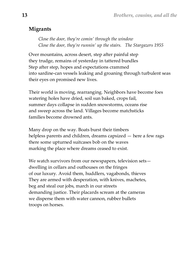# **Migrants**

*Close the door, they're comin' through the window Close the door, they're runnin' up the stairs. The Stargazers 1955* 

Over mountains, across desert, step after painful step they trudge, remains of yesterday in tattered bundles Step after step, hopes and expectations crammed into sardine-can vessels leaking and groaning through turbulent seas their eyes on promised new lives.

Their world is moving, rearranging. Neighbors have become foes watering holes have dried, soil sun baked, crops fail, summer days collapse in sudden snowstorms, oceans rise and sweep across the land. Villages become matchsticks families become drowned ants.

Many drop on the way. Boats burst their timbers helpless parents and children, dreams capsized — here a few rags there some upturned suitcases bob on the waves marking the place where dreams ceased to exist.

We watch survivors from our newspapers, television sets dwelling in cellars and outhouses on the fringes of our luxury. Avoid them, huddlers, vagabonds, thieves They are armed with desperation, with knives, machetes, beg and steal our jobs, march in our streets demanding justice. Their placards scream at the cameras we disperse them with water cannon, rubber bullets troops on horses.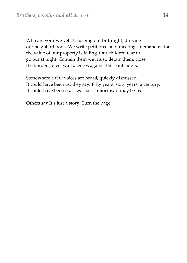Who are you? we yell. Usurping our birthright, dirtying our neighborhoods. We write petitions, hold meetings, demand action the value of our property is falling. Our children fear to go out at night. Contain them we insist, detain them, close the borders, erect walls, fences against these intruders.

Somewhere a few voices are heard, quickly dismissed. It could have been us, they say. Fifty years, sixty years, a century. It could have been us, it was us. Tomorrow it may be us.

Others say It's just a story. Turn the page.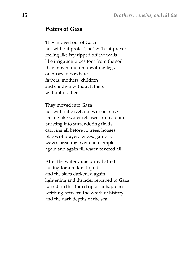#### **Waters of Gaza**

They moved out of Gaza not without protest, not without prayer feeling like ivy ripped off the walls like irrigation pipes torn from the soil they moved out on unwilling legs on buses to nowhere fathers, mothers, children and children without fathers without mothers

They moved into Gaza not without covet, not without envy feeling like water released from a dam bursting into surrendering fields carrying all before it, trees, houses places of prayer, fences, gardens waves breaking over alien temples again and again till water covered all

After the water came briny hatred lusting for a redder liquid and the skies darkened again lightening and thunder returned to Gaza rained on this thin strip of unhappiness writhing between the wrath of history and the dark depths of the sea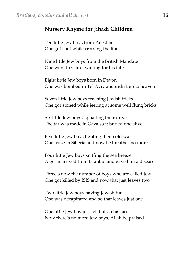# **Nursery Rhyme for Jihadi Children**

Ten little Jew boys from Palestine One got shot while crossing the line

Nine little Jew boys from the British Mandate One went to Cairo, waiting for his fate

Eight little Jew boys born in Devon One was bombed in Tel Aviv and didn't go to heaven

Seven little Jew boys teaching Jewish tricks One got stoned while jeering at some well flung bricks

Six little Jew boys asphalting their drive The tar was made in Gaza so it buried one alive

Five little Jew boys fighting their cold war One froze in Siberia and now he breathes no more

Four little Jew boys sniffing the sea breeze A germ arrived from Istanbul and gave him a disease

Three's now the number of boys who are called Jew One got killed by ISIS and now that just leaves two

Two little Jew boys having Jewish fun One was decapitated and so that leaves just one

One little Jew boy just fell flat on his face Now there's no more Jew boys, Allah be praised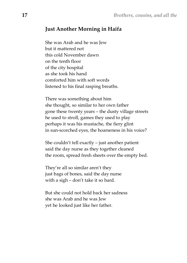# **Just Another Morning in Haifa**

She was Arab and he was Jew but it mattered not this cold November dawn on the tenth floor of the city hospital as she took his hand comforted him with soft words listened to his final rasping breaths.

There was something about him she thought, so similar to her own father gone these twenty years – the dusty village streets he used to stroll, games they used to play perhaps it was his mustache, the fiery glint in sun-scorched eyes, the hoarseness in his voice?

She couldn't tell exactly – just another patient said the day nurse as they together cleaned the room, spread fresh sheets over the empty bed.

They're all so similar aren't they just bags of bones, said the day nurse with a sigh – don't take it so hard.

But she could not hold back her sadness she was Arab and he was Jew yet he looked just like her father.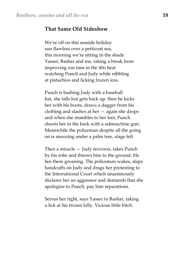#### **That Same Old Sideshow**

We're off on this seaside holiday sun flawless over a petticoat sea, this morning we're sitting in the shade Yasser, Bashar and me, taking a break from improving our tans in the 40o heat watching Punch and Judy while nibbling at pistachios and licking frozen ices.

Punch is bashing Judy with a baseball bat, she falls but gets back up, then he kicks her with his boots, draws a dagger from his clothing and slashes at her — again she drops and when she stumbles to her feet, Punch shoots her in the back with a submachine gun. Meanwhile the policeman despite all the going on is snoozing under a palm tree, stage left.

Then a miracle — Judy recovers, takes Punch by his robe and throws him to the ground. He lies there groaning. The policeman wakes, slaps handcuffs on Judy and drags her protesting to the International Court which unanimously declares her an aggressor and demands that she apologize to Punch, pay him reparations.

Serves her right, says Yasser to Bashar, taking a lick at his frozen lolly. Vicious little bitch.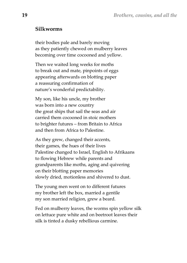#### **Silkworms**

their bodies pale and barely moving as they patiently chewed on mulberry leaves becoming over time cocooned and yellow.

Then we waited long weeks for moths to break out and mate, pinpoints of eggs appearing afterwards on blotting paper a reassuring confirmation of nature's wonderful predictability.

My son, like his uncle, my brother was born into a new country the great ships that sail the seas and air carried them cocooned in stoic mothers to brighter futures – from Britain to Africa and then from Africa to Palestine.

As they grew, changed their accents, their games, the hues of their lives Palestine changed to Israel, English to Afrikaans to flowing Hebrew while parents and grandparents like moths, aging and quivering on their blotting paper memories slowly dried, motionless and shivered to dust.

The young men went on to different futures my brother left the box, married a gentile my son married religion, grew a beard.

Fed on mulberry leaves, the worms spin yellow silk on lettuce pure white and on beetroot leaves their silk is tinted a dusky rebellious carmine.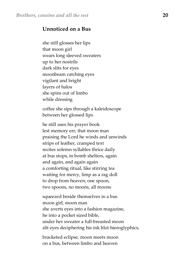# **Unnoticed on a Bus**

she still glosses her lips that moon girl wears long sleeved sweaters up to her nostrils dark slits for eyes moonbeam catching eyes vigilant and bright layers of halos she spins out of limbo while dressing

coffee she sips through a kaleidoscope between her glossed lips

he still uses his prayer book lest memory err, that moon man praising the Lord he winds and unwinds strips of leather, cramped text recites solemn syllables thrice daily at bus stops, in bomb shelters, again and again, and again again a comforting ritual, like stirring tea waiting for mercy, limp as a rag doll to drop from heaven; one spoon, two spoons, no moons, all moons

squeezed beside themselves in a bus moon girl, moon man she averts eyes into a fashion magazine, he into a pocket sized bible, under her sweater a full-breasted moon slit eyes deciphering his ink blot hieroglyphics,

bracketed eclipse, moon meets moon on a bus, between limbo and heaven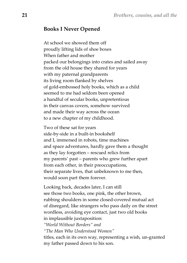#### **Books I Never Opened**

At school we showed them off proudly lifting lids of shoe boxes When father and mother packed our belongings into crates and sailed away from the old house they shared for years with my paternal grandparents its living room flanked by shelves of gold-embossed holy books, which as a child seemed to me had seldom been opened a handful of secular books, unpretentious in their canvas covers, somehow survived and made their way across the ocean to a new chapter of my childhood.

Two of these sat for years side-by-side in a built-in bookshelf and I, immersed in robots, time machines and space adventures, hardly gave them a thought as they lay forgotten – rescued relics from my parents' past – parents who grew further apart from each other, in their preoccupations, their separate lives, that unbeknown to me then, would soon part them forever.

Looking back, decades later, I can still see those two books, one pink, the other brown, rubbing shoulders in some closed-covered mutual act of disregard, like strangers who pass daily on the street wordless, avoiding eye contact, just two old books in implausible juxtaposition: *"World Without Borders" and "The Man Who Understood Women"*  titles, each in its own way, representing a wish, un-granted my father passed down to his son.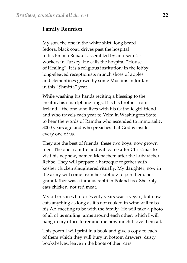#### **Family Reunion**

My son, the one in the white shirt, long beard fedora, black coat, drives past the hospital in his French Renault assembled by anti-semitic workers in Turkey. He calls the hospital "House of Healing". It is a religious institution; in the lobby long-sleeved receptionists munch slices of apples and clementines grown by some Muslims in Jordan in this "Shmitta" year.

While washing his hands reciting a blessing to the creator, his smartphone rings. It is his brother from Ireland – the one who lives with his Catholic girl friend and who travels each year to Yelm in Washington State to hear the words of Ramtha who ascended to immortality 3000 years ago and who preaches that God is inside every one of us.

They are the best of friends, these two boys, now grown men. The one from Ireland will come after Christmas to visit his nephew, named Menachem after the Lubavicher Rebbe. They will prepare a barbeque together with kosher chicken slaughtered ritually. My daughter, now in the army will come from her kibbutz to join them. her grandfather was a famous rabbi in Poland too. She only eats chicken, not red meat.

My other son who for twenty years was a vegan, but now eats anything as long as it's not cooked in wine will miss his AA meeting to be with the family. He will take a photo of all of us smiling, arms around each other, which I will hang in my office to remind me how much I love them all.

This poem I will print in a book and give a copy to each of them which they will bury in bottom drawers, dusty bookshelves, leave in the boots of their cars.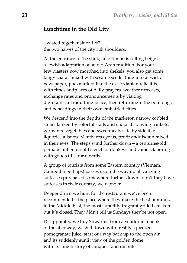#### **Lunchtime in the Old City**

Twisted together since 1967 the two halves of the city rub shoulders.

At the entrance to the shuk, an old man is selling beigele a Jewish adaptation of an old Arab tradition. For your few piasters now morphed into shekels, you also get some tangy zaatar mixed with sesame seeds flung into a twist of newspaper, pockmarked like the ex-Jordanian relic it is, with times andplaces of daily prayers, weather forecasts, exchange rates and pronouncements by visiting dignitaries all mouthing peace, then returningto the bombings and beheadings in their own embattled cities.

We descend into the depths of the marketon narrow cobbled steps flanked by colorful stalls and shops displaying trinkets, garments, vegetables and sweetmeats side by side like liquorice allsorts. Merchants eye us, profit anddisdain mixed in their eyes. The steps wind further down – a centuries-old, perhaps millennia-old stench of donkeys and camels laboring with goods fills our nostrils.

A group of tourists from some Eastern country (Vietnam, Cambodia perhaps) passes us on the way up all carrying suitcases purchased somewhere further down –don't they have suitcases in their country, we wonder.

Deeper down we hunt for the restaurant we've been recommended – the place where they make the best hummus in the Middle East, the most superbly fragrant grilled chicken – but it's closed. They didn't tell us Sundays they're not open.

Disappointed we buy Shwarma from a vendor in a nook of the alleyway, wash it down with freshly squeezed pomegranate juice, start our way back up to the open air and its suddenly sunlit view of the golden dome with its long history of conquest and dispute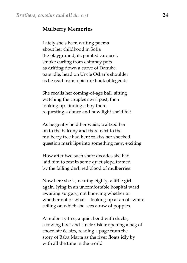#### **Mulberry Memories**

Lately she's been writing poems about her childhood in Sofia the playground, its painted carousel, smoke curling from chimney pots as drifting down a curve of Danube, oars idle, head on Uncle Oskar's shoulder as he read from a picture book of legends

She recalls her coming-of-age ball, sitting watching the couples swirl past, then looking up, finding a boy there requesting a dance and how light she'd felt

As he gently held her waist, waltzed her on to the balcony and there next to the mulberry tree had bent to kiss her shocked question mark lips into something new, exciting

How after two such short decades she had laid him to rest in some quiet slope framed by the falling dark red blood of mulberries

Now here she is, nearing eighty, a little girl again, lying in an uncomfortable hospital ward awaiting surgery, not knowing whether or whether not or what— looking up at an off-white ceiling on which she sees a row of poppies,

A mulberry tree, a quiet bend with ducks, a rowing boat and Uncle Oskar opening a bag of chocolate éclairs, reading a page from the story of Baba Marta as the river floats idly by with all the time in the world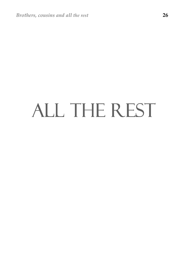# ALL THE REST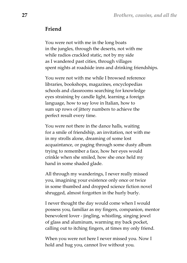#### **Friend**

You were not with me in the long boats in the jungles, through the deserts, not with me while radios crackled static, not by my side as I wandered past cities, through villages spent nights at roadside inns and drinking friendships.

You were not with me while I browsed reference libraries, bookshops, magazines, encyclopedias schools and classrooms searching for knowledge eyes straining by candle light, learning a foreign language, how to say love in Italian, how to sum up rows of jittery numbers to achieve the perfect result every time.

You were not there in the dance halls, waiting for a smile of friendship, an invitation, not with me in my strolls alone, dreaming of some lost acquaintance, or paging through some dusty album trying to remember a face, how her eyes would crinkle when she smiled, how she once held my hand in some shaded glade.

All through my wanderings, I never really missed you, imagining your existence only once or twice in some thumbed and dropped science fiction novel shrugged, almost forgotten in the hurly burly.

I never thought the day would come when I would possess you, familiar as my fingers, companion, mentor benevolent lover - jingling, whistling, singing jewel of glass and aluminum, warming my back pocket, calling out to itching fingers, at times my only friend.

When you were not here I never missed you. Now I hold and hug you, cannot live without you.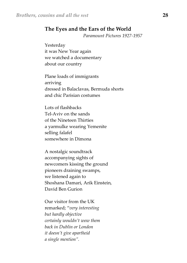#### **The Eyes and the Ears of the World**

 *Paramount Pictures 1927-1957* 

Yesterday it was New Year again we watched a documentary about our country

Plane loads of immigrants arriving dressed in Balaclavas, Bermuda shorts and chic Parisian costumes

Lots of flashbacks Tel-Aviv on the sands of the Nineteen Thirties a yarmulke wearing Yemenite selling falafel somewhere in Dimona

A nostalgic soundtrack accompanying sights of newcomers kissing the ground pioneers draining swamps, we listened again to Shoshana Damari, Arik Einstein, David Ben Gurion

Our visitor from the UK remarked; "*very interesting but hardly objective certainly wouldn't wow them back in Dublin or London it doesn't give apartheid a single mention".*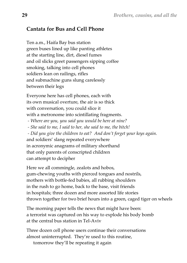# **Cantata for Bus and Cell Phone**

Ten a.m., Haifa Bay bus station green buses lined up like panting athletes at the starting line, dirt, diesel fumes and oil slicks greet passengers sipping coffee smoking, talking into cell phones soldiers lean on railings, rifles and submachine guns slung carelessly between their legs

Everyone here has cell phones, each with its own musical overture, the air is so thick with conversation, you could slice it with a metronome into scintillating fragments.

 *- Where are you, you said you would be here at nine?* 

 *- She said to me, I said to her, she said to me, the bitch!* 

 *- Did you give the children to eat? And don't forget your keys again.*  and soldiers' slang repeated everywhere in acronymic anagrams of military shorthand that only parents of conscripted children can attempt to decipher

Here we all commingle, zealots and hobos, gum-chewing youths with pierced tongues and nostrils, mothers with bottle-fed babies, all rubbing shoulders in the rush to go home, back to the base, visit friends in hospitals; three dozen and more assorted life stories thrown together for two brief hours into a green, caged tiger on wheels

The morning paper tells the news that might have been: a terrorist was captured on his way to explode his body bomb at the central bus station in Tel-Aviv

Three dozen cell phone users continue their conversations almost uninterrupted. They're used to this routine, tomorrow they'll be repeating it again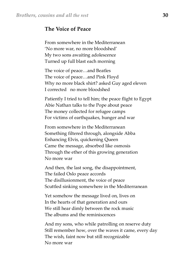### **The Voice of Peace**

From somewhere in the Mediterranean 'No more war, no more bloodshed' My two sons awaiting adolescence Turned up full blast each morning

The voice of peace…and Beatles The voice of peace…and Pink Floyd Why no more black shirt? asked Guy aged eleven I corrected no more bloodshed

Patiently I tried to tell him; the peace flight to Egypt Abie Nathan talks to the Pope about peace The money collected for refugee camps For victims of earthquakes, hunger and war

From somewhere in the Mediterranean Something filtered through, alongside Abba Enhancing Elvis, quickening Queen Came the message, absorbed like osmosis Through the ether of this growing generation No more war

And then, the last song, the disappointment, The failed Oslo peace accords The disillusionment, the voice of peace Scuttled sinking somewhere in the Mediterranean

Yet somehow the message lived on, lives on In the hearts of that generation and ours We still hear dimly between the rock music The albums and the reminiscences

And my sons, who while patrolling on reserve duty Still remember how, over the waves it came, every day The wish, faint now but still recognizable No more war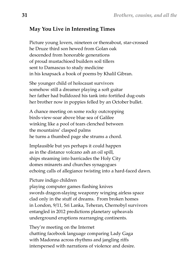# **May You Live in Interesting Times**

Picture young lovers, nineteen or thereabout, star-crossed he Druze third son hewed from Golan oak descended from honorable generations of proud mustachioed builders soil tillers sent to Damascus to study medicine in his knapsack a book of poems by Khalil Gibran.

She younger child of holocaust survivors somehow still a dreamer playing a soft guitar her father had bulldozed his tank into fortified dug-outs her brother now in poppies felled by an October bullet.

A chance meeting on some rocky outcropping birds-view-soar above blue sea of Galilee winking like a pool of tears clenched between the mountains' clasped palms he turns a thumbed page she strums a chord.

Implausible but yes perhaps it could happen as in the distance volcano ash an oil spill, ships steaming into barricades the Holy City domes minarets and churches synagogues echoing calls of allegiance twisting into a hard-faced dawn.

#### Picture indigo children

playing computer games flashing knives swords dragon-slaying weaponry winging airless space clad only in the stuff of dreams. From broken homes in London, 9/11, Sri Lanka, Teheran, Chernobyl survivors entangled in 2012 predictions planetary upheavals underground eruptions rearranging continents.

They're meeting on the Internet chatting facebook language comparing Lady Gaga with Madonna across rhythms and jangling riffs interspersed with narrations of violence and desire.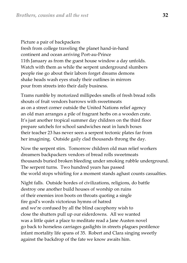Picture a pair of backpackers fresh from college traveling the planet hand-in-hand continent and ocean arriving Port-au-Prince 11th January as from the guest house window a day unfolds. Watch with them as while the serpent underground slumbers people rise go about their labors forget dreams demons shake heads wash eyes study their outlines in mirrors pour from streets into their daily business.

Trams rumble by motorized millipedes smells of fresh bread rolls shouts of fruit vendors barrows with sweetmeats as on a street corner outside the United Nations relief agency an old man arranges a pile of fragrant herbs on a wooden crate. It's just another tropical summer day children on the third floor prepare satchels for school sandwiches neat in lunch boxes their teacher 23 has never seen a serpent tectonic plates far from her imagining. Outside gaily clad thousands throng the day.

Now the serpent stirs. Tomorrow children old man relief workers dreamers backpackers vendors of bread rolls sweetmeats thousands buried broken bleeding under smoking rubble underground. The serpent turns. Two hundred years has passed the world stops whirling for a moment stands aghast counts casualties.

Night falls. Outside hordes of civilizations, religions, do battle destroy one another build houses of worship on ruins of their enemies iron boots on throats quoting a single fire god's words victorious hymns of hatred and we're confused by all the blind cacophony wish to close the shutters pull up our eiderdowns. All we wanted was a little quiet a place to meditate read a Jane Austen novel go back to horseless carriages gaslights in streets plagues pestilence infant mortality life spans of 35. Robert and Clara singing sweetly against the backdrop of the fate we know awaits him.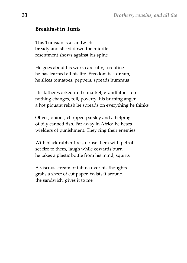#### **Breakfast in Tunis**

This Tunisian is a sandwich bready and sliced down the middle resentment shows against his spine

He goes about his work carefully, a routine he has learned all his life. Freedom is a dream, he slices tomatoes, peppers, spreads hummus

His father worked in the market, grandfather too nothing changes, toil, poverty, his burning anger a hot piquant relish he spreads on everything he thinks

Olives, onions, chopped parsley and a helping of oily canned fish. Far away in Africa he hears wielders of punishment. They ring their enemies

With black rubber tires, douse them with petrol set fire to them, laugh while cowards burn, he takes a plastic bottle from his mind, squirts

A viscous stream of tahina over his thoughts grabs a sheet of cut paper, twists it around the sandwich, gives it to me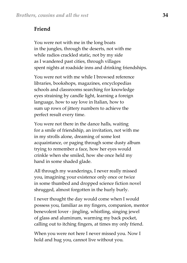# **Friend**

You were not with me in the long boats in the jungles, through the deserts, not with me while radios crackled static, not by my side as I wandered past cities, through villages spent nights at roadside inns and drinking friendships.

You were not with me while I browsed reference libraries, bookshops, magazines, encyclopedias schools and classrooms searching for knowledge eyes straining by candle light, learning a foreign language, how to say love in Italian, how to sum up rows of jittery numbers to achieve the perfect result every time.

You were not there in the dance halls, waiting for a smile of friendship, an invitation, not with me in my strolls alone, dreaming of some lost acquaintance, or paging through some dusty album trying to remember a face, how her eyes would crinkle when she smiled, how she once held my hand in some shaded glade.

All through my wanderings, I never really missed you, imagining your existence only once or twice in some thumbed and dropped science fiction novel shrugged, almost forgotten in the hurly burly.

I never thought the day would come when I would possess you, familiar as my fingers, companion, mentor benevolent lover - jingling, whistling, singing jewel of glass and aluminum, warming my back pocket, calling out to itching fingers, at times my only friend.

When you were not here I never missed you. Now I hold and hug you, cannot live without you.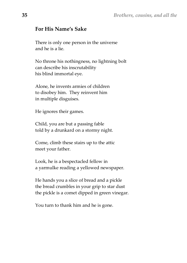# **For His Name's Sake**

There is only one person in the universe and he is a lie.

No throne his nothingness, no lightning bolt can describe his inscrutability his blind immortal eye.

Alone, he invents armies of children to disobey him. They reinvent him in multiple disguises.

He ignores their games.

Child, you are but a passing fable told by a drunkard on a stormy night.

Come, climb these stairs up to the attic meet your father.

Look, he is a bespectacled fellow in a yarmulke reading a yellowed newspaper.

He hands you a slice of bread and a pickle the bread crumbles in your grip to star dust the pickle is a comet dipped in green vinegar.

You turn to thank him and he is gone.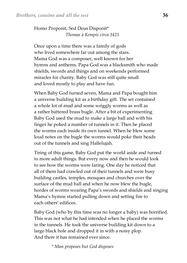Homo Proponit, Sed Deus Disponit\*  *Thomas à Kempis circa 1425*

Once upon a time there was a family of gods who lived somewhere far out among the stars. Mama God was a composer, well known for her hymns and anthems. Papa God was a blacksmith who made shields, swords and things and on weekends performed miracles for charity. Baby God was still quite small and loved mostly to play and have fun.

When Baby God turned seven, Mama and Papa bought him a universe building kit as a birthday gift. The set contained a whole lot of mud and some wriggly worms as well as a rather battered brass bugle. After a bit of experimenting Baby God used the mud to make a large ball and with his finger he poked a number of tunnels in it. Then he placed the worms each inside its own tunnel. When he blew some loud notes on the bugle the worms would poke their heads out of the tunnels and sing Hallelujah.

Tiring of this game, Baby God put the world aside and turned to more adult things. But every now and then he would look to see how the worms were faring. One day he noticed that all of them had crawled out of their tunnels and were busy building castles, temples, mosques and churches over the surface of the mud ball and when he now blew the bugle, hordes of worms wearing Papa's swords and shields and singing Mama's hymns started pulling down and setting fire to each others' edifices.

Baby God (who by this time was no longer a baby) was horrified. This was not what he had intended when he placed the worms in the tunnels. He took the universe building kit down to a large black hole and dropped it in with a noisy plop. And there it has remained ever since.

 *\* Man proposes but God disposes*